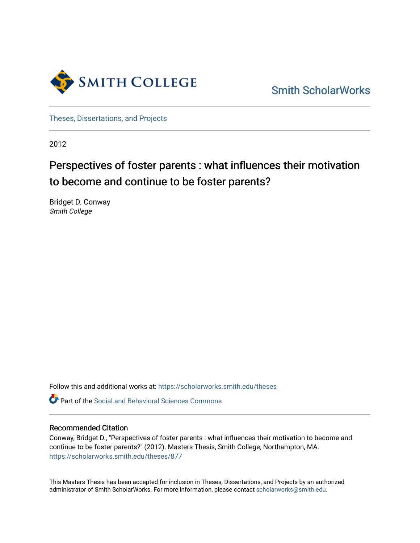

[Smith ScholarWorks](https://scholarworks.smith.edu/) 

[Theses, Dissertations, and Projects](https://scholarworks.smith.edu/theses) 

2012

# Perspectives of foster parents : what influences their motivation to become and continue to be foster parents?

Bridget D. Conway Smith College

Follow this and additional works at: [https://scholarworks.smith.edu/theses](https://scholarworks.smith.edu/theses?utm_source=scholarworks.smith.edu%2Ftheses%2F877&utm_medium=PDF&utm_campaign=PDFCoverPages) 

**C** Part of the Social and Behavioral Sciences Commons

#### Recommended Citation

Conway, Bridget D., "Perspectives of foster parents : what influences their motivation to become and continue to be foster parents?" (2012). Masters Thesis, Smith College, Northampton, MA. [https://scholarworks.smith.edu/theses/877](https://scholarworks.smith.edu/theses/877?utm_source=scholarworks.smith.edu%2Ftheses%2F877&utm_medium=PDF&utm_campaign=PDFCoverPages) 

This Masters Thesis has been accepted for inclusion in Theses, Dissertations, and Projects by an authorized administrator of Smith ScholarWorks. For more information, please contact [scholarworks@smith.edu](mailto:scholarworks@smith.edu).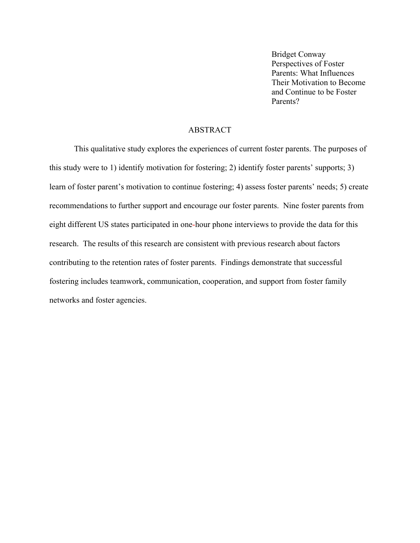Bridget Conway Perspectives of Foster Parents: What Influences Their Motivation to Become and Continue to be Foster Parents?

## ABSTRACT

This qualitative study explores the experiences of current foster parents. The purposes of this study were to 1) identify motivation for fostering; 2) identify foster parents' supports; 3) learn of foster parent's motivation to continue fostering; 4) assess foster parents' needs; 5) create recommendations to further support and encourage our foster parents. Nine foster parents from eight different US states participated in one-hour phone interviews to provide the data for this research. The results of this research are consistent with previous research about factors contributing to the retention rates of foster parents. Findings demonstrate that successful fostering includes teamwork, communication, cooperation, and support from foster family networks and foster agencies.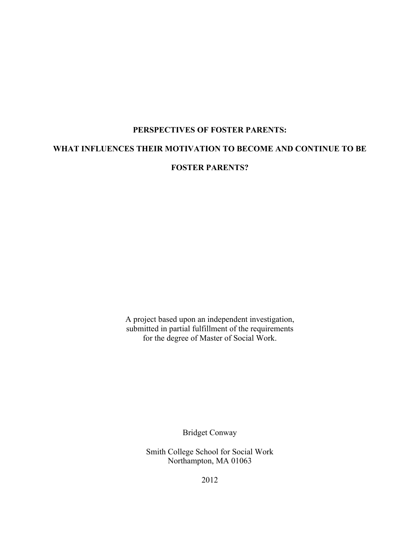# **PERSPECTIVES OF FOSTER PARENTS: WHAT INFLUENCES THEIR MOTIVATION TO BECOME AND CONTINUE TO BE FOSTER PARENTS?**

A project based upon an independent investigation, submitted in partial fulfillment of the requirements for the degree of Master of Social Work.

Bridget Conway

Smith College School for Social Work Northampton, MA 01063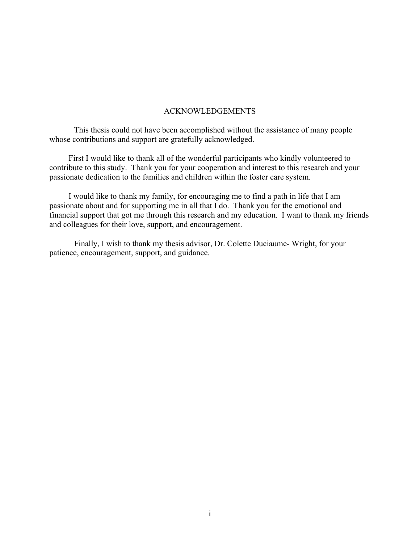#### ACKNOWLEDGEMENTS

This thesis could not have been accomplished without the assistance of many people whose contributions and support are gratefully acknowledged.

First I would like to thank all of the wonderful participants who kindly volunteered to contribute to this study. Thank you for your cooperation and interest to this research and your passionate dedication to the families and children within the foster care system.

I would like to thank my family, for encouraging me to find a path in life that I am passionate about and for supporting me in all that I do. Thank you for the emotional and financial support that got me through this research and my education. I want to thank my friends and colleagues for their love, support, and encouragement.

Finally, I wish to thank my thesis advisor, Dr. Colette Duciaume- Wright, for your patience, encouragement, support, and guidance.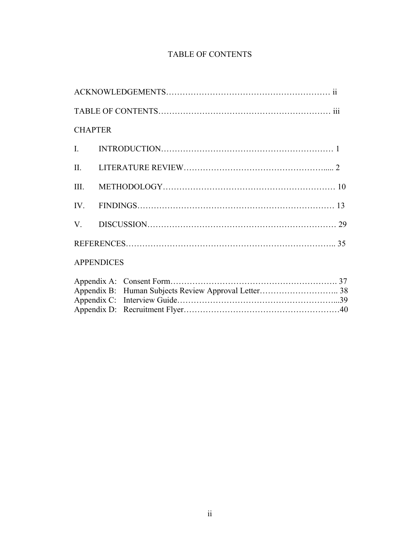# TABLE OF CONTENTS

| <b>CHAPTER</b> |                   |  |  |  |
|----------------|-------------------|--|--|--|
|                |                   |  |  |  |
|                |                   |  |  |  |
|                |                   |  |  |  |
|                |                   |  |  |  |
|                |                   |  |  |  |
|                |                   |  |  |  |
|                | <b>APPENDICES</b> |  |  |  |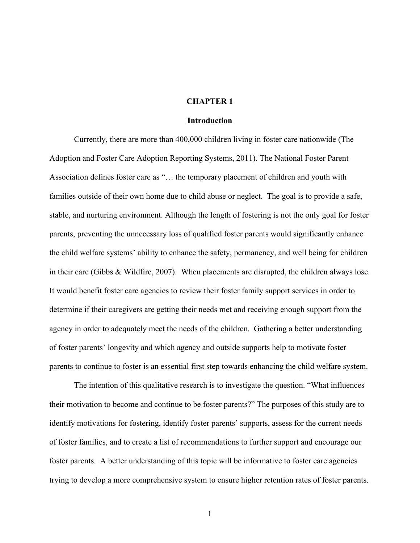#### **CHAPTER 1**

#### **Introduction**

Currently, there are more than 400,000 children living in foster care nationwide (The Adoption and Foster Care Adoption Reporting Systems, 2011). The National Foster Parent Association defines foster care as "… the temporary placement of children and youth with families outside of their own home due to child abuse or neglect. The goal is to provide a safe, stable, and nurturing environment. Although the length of fostering is not the only goal for foster parents, preventing the unnecessary loss of qualified foster parents would significantly enhance the child welfare systems' ability to enhance the safety, permanency, and well being for children in their care (Gibbs & Wildfire, 2007). When placements are disrupted, the children always lose. It would benefit foster care agencies to review their foster family support services in order to determine if their caregivers are getting their needs met and receiving enough support from the agency in order to adequately meet the needs of the children. Gathering a better understanding of foster parents' longevity and which agency and outside supports help to motivate foster parents to continue to foster is an essential first step towards enhancing the child welfare system.

The intention of this qualitative research is to investigate the question. "What influences their motivation to become and continue to be foster parents?" The purposes of this study are to identify motivations for fostering, identify foster parents' supports, assess for the current needs of foster families, and to create a list of recommendations to further support and encourage our foster parents. A better understanding of this topic will be informative to foster care agencies trying to develop a more comprehensive system to ensure higher retention rates of foster parents.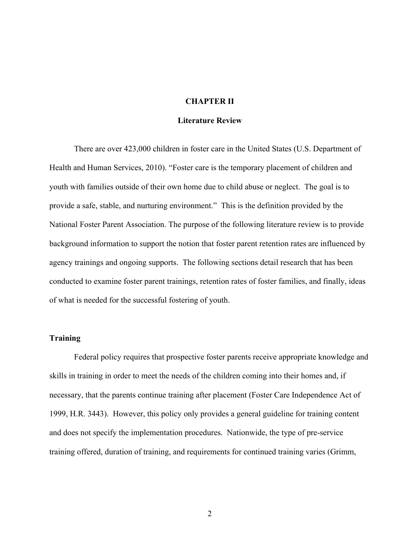#### **CHAPTER II**

#### **Literature Review**

There are over 423,000 children in foster care in the United States (U.S. Department of Health and Human Services, 2010). "Foster care is the temporary placement of children and youth with families outside of their own home due to child abuse or neglect. The goal is to provide a safe, stable, and nurturing environment." This is the definition provided by the National Foster Parent Association. The purpose of the following literature review is to provide background information to support the notion that foster parent retention rates are influenced by agency trainings and ongoing supports. The following sections detail research that has been conducted to examine foster parent trainings, retention rates of foster families, and finally, ideas of what is needed for the successful fostering of youth.

#### **Training**

Federal policy requires that prospective foster parents receive appropriate knowledge and skills in training in order to meet the needs of the children coming into their homes and, if necessary, that the parents continue training after placement (Foster Care Independence Act of 1999, H.R. 3443). However, this policy only provides a general guideline for training content and does not specify the implementation procedures. Nationwide, the type of pre-service training offered, duration of training, and requirements for continued training varies (Grimm,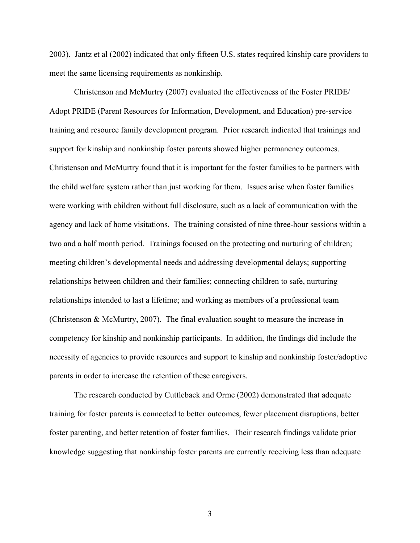2003). Jantz et al (2002) indicated that only fifteen U.S. states required kinship care providers to meet the same licensing requirements as nonkinship.

Christenson and McMurtry (2007) evaluated the effectiveness of the Foster PRIDE/ Adopt PRIDE (Parent Resources for Information, Development, and Education) pre-service training and resource family development program. Prior research indicated that trainings and support for kinship and nonkinship foster parents showed higher permanency outcomes. Christenson and McMurtry found that it is important for the foster families to be partners with the child welfare system rather than just working for them. Issues arise when foster families were working with children without full disclosure, such as a lack of communication with the agency and lack of home visitations. The training consisted of nine three-hour sessions within a two and a half month period. Trainings focused on the protecting and nurturing of children; meeting children's developmental needs and addressing developmental delays; supporting relationships between children and their families; connecting children to safe, nurturing relationships intended to last a lifetime; and working as members of a professional team (Christenson & McMurtry, 2007). The final evaluation sought to measure the increase in competency for kinship and nonkinship participants. In addition, the findings did include the necessity of agencies to provide resources and support to kinship and nonkinship foster/adoptive parents in order to increase the retention of these caregivers.

The research conducted by Cuttleback and Orme (2002) demonstrated that adequate training for foster parents is connected to better outcomes, fewer placement disruptions, better foster parenting, and better retention of foster families. Their research findings validate prior knowledge suggesting that nonkinship foster parents are currently receiving less than adequate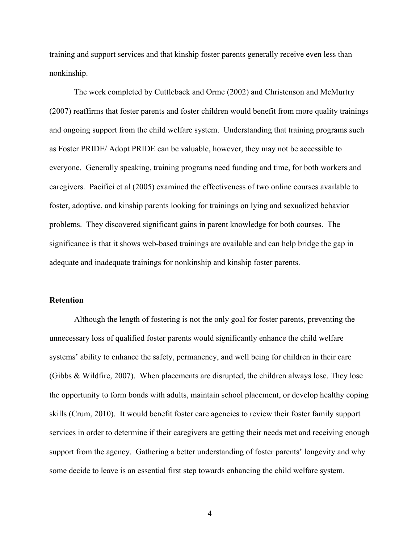training and support services and that kinship foster parents generally receive even less than nonkinship.

The work completed by Cuttleback and Orme (2002) and Christenson and McMurtry (2007) reaffirms that foster parents and foster children would benefit from more quality trainings and ongoing support from the child welfare system. Understanding that training programs such as Foster PRIDE/ Adopt PRIDE can be valuable, however, they may not be accessible to everyone. Generally speaking, training programs need funding and time, for both workers and caregivers. Pacifici et al (2005) examined the effectiveness of two online courses available to foster, adoptive, and kinship parents looking for trainings on lying and sexualized behavior problems. They discovered significant gains in parent knowledge for both courses. The significance is that it shows web-based trainings are available and can help bridge the gap in adequate and inadequate trainings for nonkinship and kinship foster parents.

#### **Retention**

Although the length of fostering is not the only goal for foster parents, preventing the unnecessary loss of qualified foster parents would significantly enhance the child welfare systems' ability to enhance the safety, permanency, and well being for children in their care (Gibbs & Wildfire, 2007). When placements are disrupted, the children always lose. They lose the opportunity to form bonds with adults, maintain school placement, or develop healthy coping skills (Crum, 2010). It would benefit foster care agencies to review their foster family support services in order to determine if their caregivers are getting their needs met and receiving enough support from the agency. Gathering a better understanding of foster parents' longevity and why some decide to leave is an essential first step towards enhancing the child welfare system.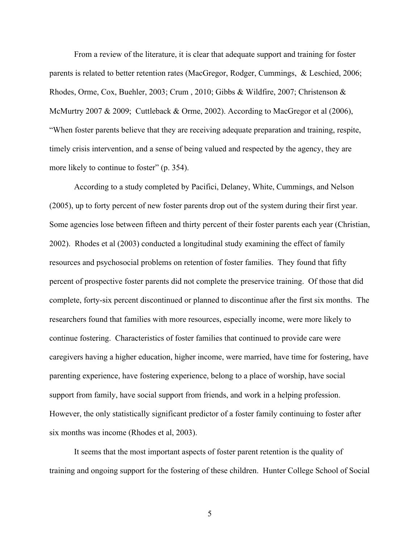From a review of the literature, it is clear that adequate support and training for foster parents is related to better retention rates (MacGregor, Rodger, Cummings, & Leschied, 2006; Rhodes, Orme, Cox, Buehler, 2003; Crum , 2010; Gibbs & Wildfire, 2007; Christenson & McMurtry 2007 & 2009; Cuttleback & Orme, 2002). According to MacGregor et al (2006), "When foster parents believe that they are receiving adequate preparation and training, respite, timely crisis intervention, and a sense of being valued and respected by the agency, they are more likely to continue to foster" (p. 354).

According to a study completed by Pacifici, Delaney, White, Cummings, and Nelson (2005), up to forty percent of new foster parents drop out of the system during their first year. Some agencies lose between fifteen and thirty percent of their foster parents each year (Christian, 2002). Rhodes et al (2003) conducted a longitudinal study examining the effect of family resources and psychosocial problems on retention of foster families. They found that fifty percent of prospective foster parents did not complete the preservice training. Of those that did complete, forty-six percent discontinued or planned to discontinue after the first six months. The researchers found that families with more resources, especially income, were more likely to continue fostering. Characteristics of foster families that continued to provide care were caregivers having a higher education, higher income, were married, have time for fostering, have parenting experience, have fostering experience, belong to a place of worship, have social support from family, have social support from friends, and work in a helping profession. However, the only statistically significant predictor of a foster family continuing to foster after six months was income (Rhodes et al, 2003).

It seems that the most important aspects of foster parent retention is the quality of training and ongoing support for the fostering of these children. Hunter College School of Social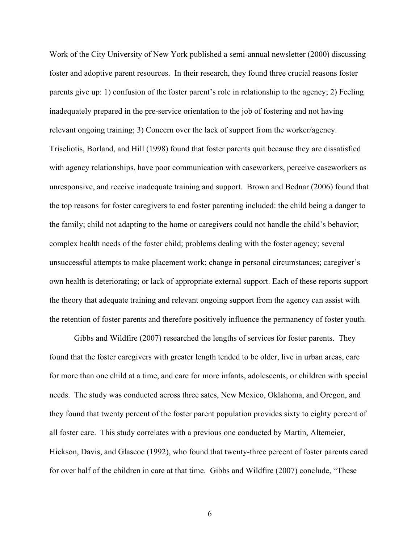Work of the City University of New York published a semi-annual newsletter (2000) discussing foster and adoptive parent resources. In their research, they found three crucial reasons foster parents give up: 1) confusion of the foster parent's role in relationship to the agency; 2) Feeling inadequately prepared in the pre-service orientation to the job of fostering and not having relevant ongoing training; 3) Concern over the lack of support from the worker/agency. Triseliotis, Borland, and Hill (1998) found that foster parents quit because they are dissatisfied with agency relationships, have poor communication with caseworkers, perceive caseworkers as unresponsive, and receive inadequate training and support. Brown and Bednar (2006) found that the top reasons for foster caregivers to end foster parenting included: the child being a danger to the family; child not adapting to the home or caregivers could not handle the child's behavior; complex health needs of the foster child; problems dealing with the foster agency; several unsuccessful attempts to make placement work; change in personal circumstances; caregiver's own health is deteriorating; or lack of appropriate external support. Each of these reports support the theory that adequate training and relevant ongoing support from the agency can assist with the retention of foster parents and therefore positively influence the permanency of foster youth.

Gibbs and Wildfire (2007) researched the lengths of services for foster parents. They found that the foster caregivers with greater length tended to be older, live in urban areas, care for more than one child at a time, and care for more infants, adolescents, or children with special needs. The study was conducted across three sates, New Mexico, Oklahoma, and Oregon, and they found that twenty percent of the foster parent population provides sixty to eighty percent of all foster care. This study correlates with a previous one conducted by Martin, Altemeier, Hickson, Davis, and Glascoe (1992), who found that twenty-three percent of foster parents cared for over half of the children in care at that time. Gibbs and Wildfire (2007) conclude, "These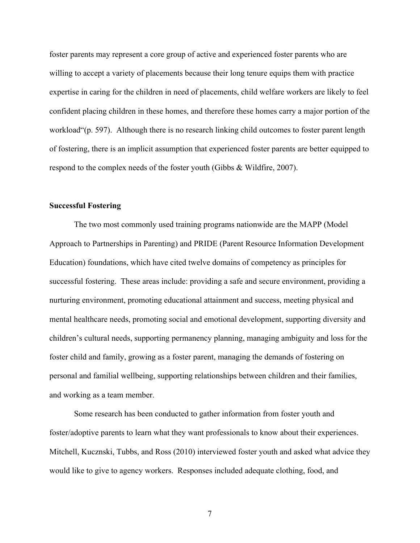foster parents may represent a core group of active and experienced foster parents who are willing to accept a variety of placements because their long tenure equips them with practice expertise in caring for the children in need of placements, child welfare workers are likely to feel confident placing children in these homes, and therefore these homes carry a major portion of the workload"(p. 597). Although there is no research linking child outcomes to foster parent length of fostering, there is an implicit assumption that experienced foster parents are better equipped to respond to the complex needs of the foster youth (Gibbs & Wildfire, 2007).

#### **Successful Fostering**

The two most commonly used training programs nationwide are the MAPP (Model Approach to Partnerships in Parenting) and PRIDE (Parent Resource Information Development Education) foundations, which have cited twelve domains of competency as principles for successful fostering. These areas include: providing a safe and secure environment, providing a nurturing environment, promoting educational attainment and success, meeting physical and mental healthcare needs, promoting social and emotional development, supporting diversity and children's cultural needs, supporting permanency planning, managing ambiguity and loss for the foster child and family, growing as a foster parent, managing the demands of fostering on personal and familial wellbeing, supporting relationships between children and their families, and working as a team member.

Some research has been conducted to gather information from foster youth and foster/adoptive parents to learn what they want professionals to know about their experiences. Mitchell, Kucznski, Tubbs, and Ross (2010) interviewed foster youth and asked what advice they would like to give to agency workers. Responses included adequate clothing, food, and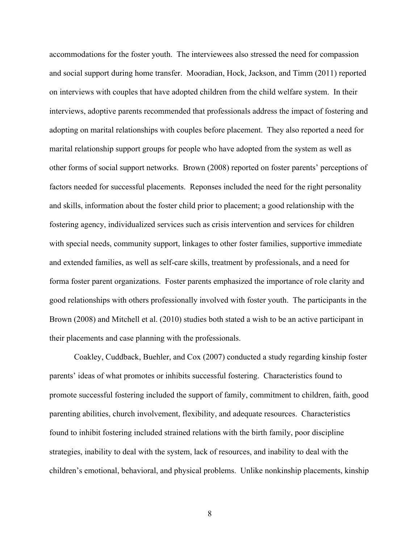accommodations for the foster youth. The interviewees also stressed the need for compassion and social support during home transfer. Mooradian, Hock, Jackson, and Timm (2011) reported on interviews with couples that have adopted children from the child welfare system. In their interviews, adoptive parents recommended that professionals address the impact of fostering and adopting on marital relationships with couples before placement. They also reported a need for marital relationship support groups for people who have adopted from the system as well as other forms of social support networks. Brown (2008) reported on foster parents' perceptions of factors needed for successful placements. Reponses included the need for the right personality and skills, information about the foster child prior to placement; a good relationship with the fostering agency, individualized services such as crisis intervention and services for children with special needs, community support, linkages to other foster families, supportive immediate and extended families, as well as self-care skills, treatment by professionals, and a need for forma foster parent organizations. Foster parents emphasized the importance of role clarity and good relationships with others professionally involved with foster youth. The participants in the Brown (2008) and Mitchell et al. (2010) studies both stated a wish to be an active participant in their placements and case planning with the professionals.

Coakley, Cuddback, Buehler, and Cox (2007) conducted a study regarding kinship foster parents' ideas of what promotes or inhibits successful fostering. Characteristics found to promote successful fostering included the support of family, commitment to children, faith, good parenting abilities, church involvement, flexibility, and adequate resources. Characteristics found to inhibit fostering included strained relations with the birth family, poor discipline strategies, inability to deal with the system, lack of resources, and inability to deal with the children's emotional, behavioral, and physical problems. Unlike nonkinship placements, kinship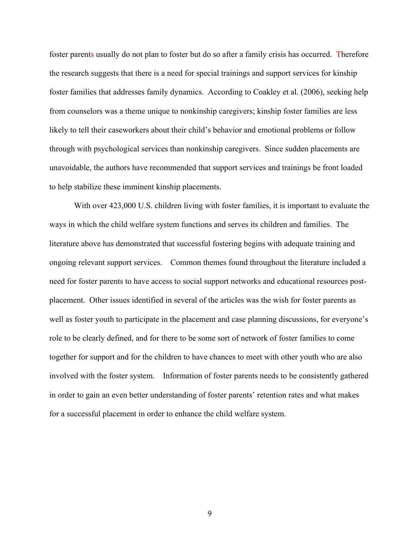foster parents usually do not plan to foster but do so after a family crisis has occurred. Therefore the research suggests that there is a need for special trainings and support services for kinship foster families that addresses family dynamics. According to Coakley et al. (2006), seeking help from counselors was a theme unique to nonkinship caregivers; kinship foster families are less likely to tell their caseworkers about their child's behavior and emotional problems or follow through with psychological services than nonkinship caregivers. Since sudden placements are unavoidable, the authors have recommended that support services and trainings be front loaded to help stabilize these imminent kinship placements.

With over  $423,000$  U.S. children living with foster families, it is important to evaluate the ways in which the child welfare system functions and serves its children and families. The literature above has demonstrated that successful fostering begins with adequate training and ongoing relevant support services. Common themes found throughout the literature included a need for foster parents to have access to social support networks and educational resources postplacement. Other issues identified in several of the articles was the wish for foster parents as well as foster youth to participate in the placement and case planning discussions, for everyone's role to be clearly defined, and for there to be some sort of network of foster families to come together for support and for the children to have chances to meet with other youth who are also involved with the foster system. Information of foster parents needs to be consistently gathered in order to gain an even better understanding of foster parents' retention rates and what makes for a successful placement in order to enhance the child welfare system.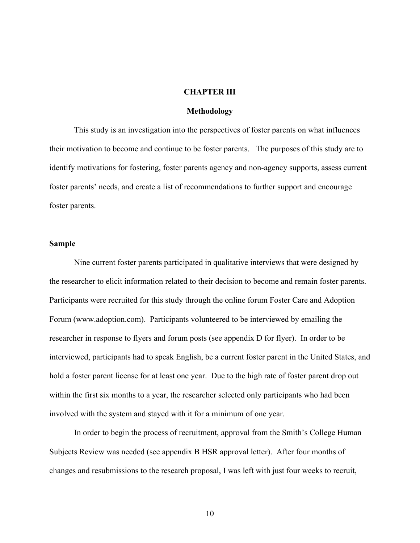#### **CHAPTER III**

#### **Methodology**

This study is an investigation into the perspectives of foster parents on what influences their motivation to become and continue to be foster parents. The purposes of this study are to identify motivations for fostering, foster parents agency and non-agency supports, assess current foster parents' needs, and create a list of recommendations to further support and encourage foster parents.

#### **Sample**

Nine current foster parents participated in qualitative interviews that were designed by the researcher to elicit information related to their decision to become and remain foster parents. Participants were recruited for this study through the online forum Foster Care and Adoption Forum (www.adoption.com). Participants volunteered to be interviewed by emailing the researcher in response to flyers and forum posts (see appendix D for flyer). In order to be interviewed, participants had to speak English, be a current foster parent in the United States, and hold a foster parent license for at least one year. Due to the high rate of foster parent drop out within the first six months to a year, the researcher selected only participants who had been involved with the system and stayed with it for a minimum of one year.

In order to begin the process of recruitment, approval from the Smith's College Human Subjects Review was needed (see appendix B HSR approval letter). After four months of changes and resubmissions to the research proposal, I was left with just four weeks to recruit,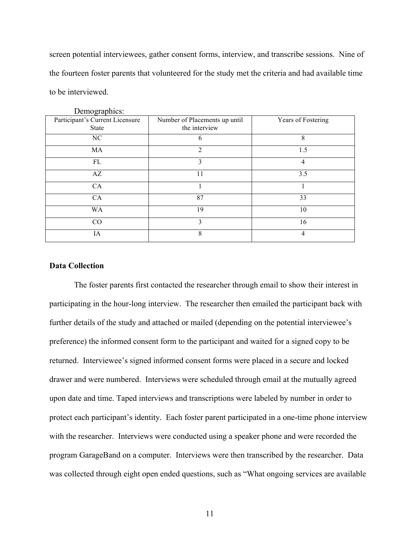screen potential interviewees, gather consent forms, interview, and transcribe sessions. Nine of the fourteen foster parents that volunteered for the study met the criteria and had available time to be interviewed.

| Demographics.                                   |                                                |                    |  |  |
|-------------------------------------------------|------------------------------------------------|--------------------|--|--|
| Participant's Current Licensure<br><b>State</b> | Number of Placements up until<br>the interview | Years of Fostering |  |  |
| NC                                              | b                                              | 8                  |  |  |
| MA                                              | $\overline{2}$                                 | 1.5                |  |  |
| FL                                              | 3                                              | 4                  |  |  |
| AZ                                              | 11                                             | 3.5                |  |  |
| CA                                              |                                                |                    |  |  |
| CA                                              | 87                                             | 33                 |  |  |
| <b>WA</b>                                       | 19                                             | 10                 |  |  |
| CO                                              | 3                                              | 16                 |  |  |
| IA                                              | 8                                              | 4                  |  |  |

Domographics:

#### **Data Collection**

The foster parents first contacted the researcher through email to show their interest in participating in the hour-long interview. The researcher then emailed the participant back with further details of the study and attached or mailed (depending on the potential interviewee's preference) the informed consent form to the participant and waited for a signed copy to be returned. Interviewee's signed informed consent forms were placed in a secure and locked drawer and were numbered. Interviews were scheduled through email at the mutually agreed upon date and time. Taped interviews and transcriptions were labeled by number in order to protect each participant's identity. Each foster parent participated in a one-time phone interview with the researcher. Interviews were conducted using a speaker phone and were recorded the program GarageBand on a computer. Interviews were then transcribed by the researcher. Data was collected through eight open ended questions, such as "What ongoing services are available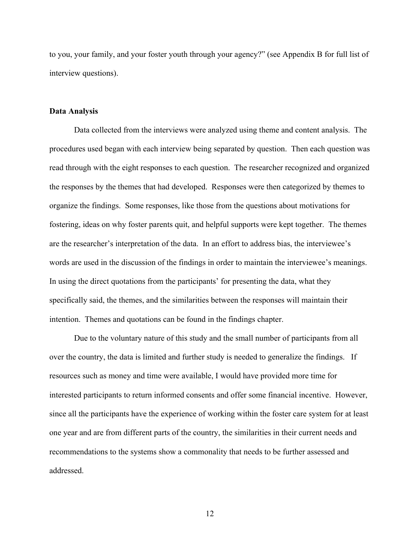to you, your family, and your foster youth through your agency?" (see Appendix B for full list of interview questions).

#### **Data Analysis**

Data collected from the interviews were analyzed using theme and content analysis. The procedures used began with each interview being separated by question. Then each question was read through with the eight responses to each question. The researcher recognized and organized the responses by the themes that had developed. Responses were then categorized by themes to organize the findings. Some responses, like those from the questions about motivations for fostering, ideas on why foster parents quit, and helpful supports were kept together. The themes are the researcher's interpretation of the data. In an effort to address bias, the interviewee's words are used in the discussion of the findings in order to maintain the interviewee's meanings. In using the direct quotations from the participants' for presenting the data, what they specifically said, the themes, and the similarities between the responses will maintain their intention. Themes and quotations can be found in the findings chapter.

Due to the voluntary nature of this study and the small number of participants from all over the country, the data is limited and further study is needed to generalize the findings. If resources such as money and time were available, I would have provided more time for interested participants to return informed consents and offer some financial incentive. However, since all the participants have the experience of working within the foster care system for at least one year and are from different parts of the country, the similarities in their current needs and recommendations to the systems show a commonality that needs to be further assessed and addressed.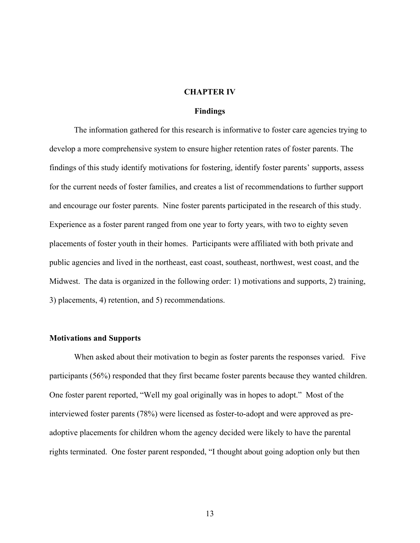#### **CHAPTER IV**

#### **Findings**

The information gathered for this research is informative to foster care agencies trying to develop a more comprehensive system to ensure higher retention rates of foster parents. The findings of this study identify motivations for fostering, identify foster parents' supports, assess for the current needs of foster families, and creates a list of recommendations to further support and encourage our foster parents. Nine foster parents participated in the research of this study. Experience as a foster parent ranged from one year to forty years, with two to eighty seven placements of foster youth in their homes. Participants were affiliated with both private and public agencies and lived in the northeast, east coast, southeast, northwest, west coast, and the Midwest. The data is organized in the following order: 1) motivations and supports, 2) training, 3) placements, 4) retention, and 5) recommendations.

#### **Motivations and Supports**

When asked about their motivation to begin as foster parents the responses varied. Five participants (56%) responded that they first became foster parents because they wanted children. One foster parent reported, "Well my goal originally was in hopes to adopt." Most of the interviewed foster parents (78%) were licensed as foster-to-adopt and were approved as preadoptive placements for children whom the agency decided were likely to have the parental rights terminated. One foster parent responded, "I thought about going adoption only but then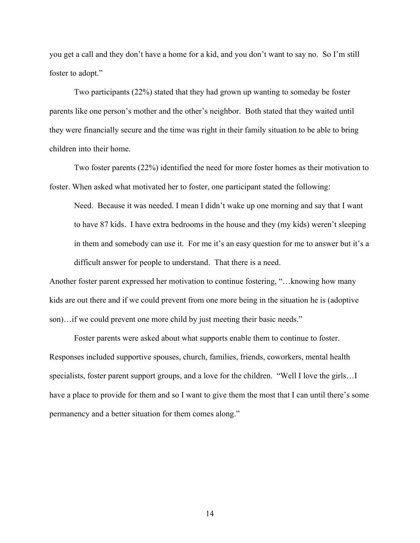you get a call and they don't have a home for a kid, and you don't want to say no. So I'm still foster to adopt."

Two participants (22%) stated that they had grown up wanting to someday be foster parents like one person's mother and the other's neighbor. Both stated that they waited until they were financially secure and the time was right in their family situation to be able to bring children into their home.

Two foster parents (22%) identified the need for more foster homes as their motivation to foster. When asked what motivated her to foster, one participant stated the following:

Need. Because it was needed. I mean I didn't wake up one morning and say that I want to have 87 kids. I have extra bedrooms in the house and they (my kids) weren't sleeping in them and somebody can use it. For me it's an easy question for me to answer but it's a difficult answer for people to understand. That there is a need.

Another foster parent expressed her motivation to continue fostering, "…knowing how many kids are out there and if we could prevent from one more being in the situation he is (adoptive son)…if we could prevent one more child by just meeting their basic needs."

Foster parents were asked about what supports enable them to continue to foster. Responses included supportive spouses, church, families, friends, coworkers, mental health specialists, foster parent support groups, and a love for the children. "Well I love the girls…I have a place to provide for them and so I want to give them the most that I can until there's some permanency and a better situation for them comes along."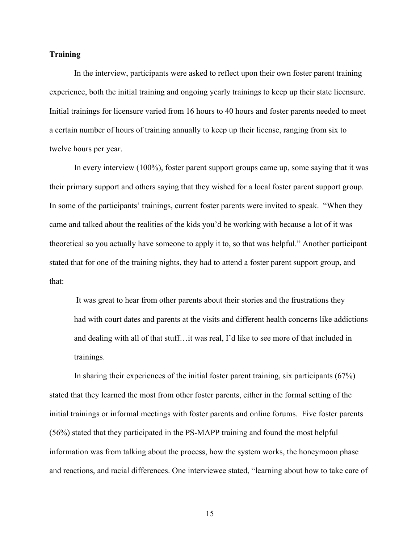#### **Training**

In the interview, participants were asked to reflect upon their own foster parent training experience, both the initial training and ongoing yearly trainings to keep up their state licensure. Initial trainings for licensure varied from 16 hours to 40 hours and foster parents needed to meet a certain number of hours of training annually to keep up their license, ranging from six to twelve hours per year.

In every interview (100%), foster parent support groups came up, some saying that it was their primary support and others saying that they wished for a local foster parent support group. In some of the participants' trainings, current foster parents were invited to speak. "When they came and talked about the realities of the kids you'd be working with because a lot of it was theoretical so you actually have someone to apply it to, so that was helpful." Another participant stated that for one of the training nights, they had to attend a foster parent support group, and that:

It was great to hear from other parents about their stories and the frustrations they had with court dates and parents at the visits and different health concerns like addictions and dealing with all of that stuff…it was real, I'd like to see more of that included in trainings.

In sharing their experiences of the initial foster parent training, six participants (67%) stated that they learned the most from other foster parents, either in the formal setting of the initial trainings or informal meetings with foster parents and online forums. Five foster parents (56%) stated that they participated in the PS-MAPP training and found the most helpful information was from talking about the process, how the system works, the honeymoon phase and reactions, and racial differences. One interviewee stated, "learning about how to take care of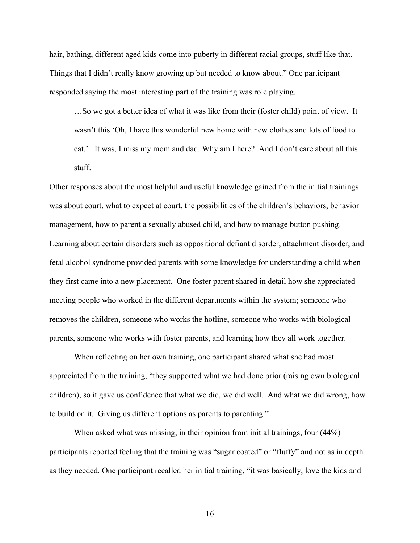hair, bathing, different aged kids come into puberty in different racial groups, stuff like that. Things that I didn't really know growing up but needed to know about." One participant responded saying the most interesting part of the training was role playing.

…So we got a better idea of what it was like from their (foster child) point of view. It wasn't this 'Oh, I have this wonderful new home with new clothes and lots of food to eat.' It was, I miss my mom and dad. Why am I here? And I don't care about all this stuff.

Other responses about the most helpful and useful knowledge gained from the initial trainings was about court, what to expect at court, the possibilities of the children's behaviors, behavior management, how to parent a sexually abused child, and how to manage button pushing. Learning about certain disorders such as oppositional defiant disorder, attachment disorder, and fetal alcohol syndrome provided parents with some knowledge for understanding a child when they first came into a new placement. One foster parent shared in detail how she appreciated meeting people who worked in the different departments within the system; someone who removes the children, someone who works the hotline, someone who works with biological parents, someone who works with foster parents, and learning how they all work together.

When reflecting on her own training, one participant shared what she had most appreciated from the training, "they supported what we had done prior (raising own biological children), so it gave us confidence that what we did, we did well. And what we did wrong, how to build on it. Giving us different options as parents to parenting."

When asked what was missing, in their opinion from initial trainings, four (44%) participants reported feeling that the training was "sugar coated" or "fluffy" and not as in depth as they needed. One participant recalled her initial training, "it was basically, love the kids and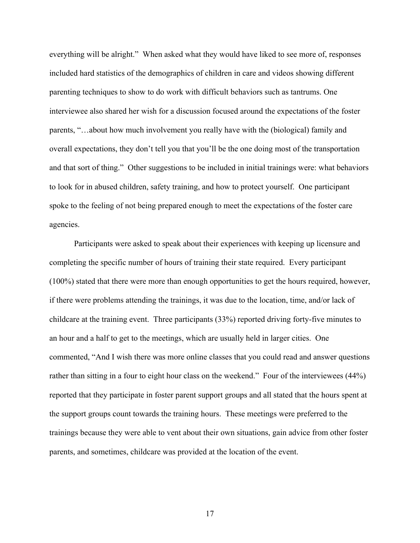everything will be alright." When asked what they would have liked to see more of, responses included hard statistics of the demographics of children in care and videos showing different parenting techniques to show to do work with difficult behaviors such as tantrums. One interviewee also shared her wish for a discussion focused around the expectations of the foster parents, "…about how much involvement you really have with the (biological) family and overall expectations, they don't tell you that you'll be the one doing most of the transportation and that sort of thing." Other suggestions to be included in initial trainings were: what behaviors to look for in abused children, safety training, and how to protect yourself. One participant spoke to the feeling of not being prepared enough to meet the expectations of the foster care agencies.

Participants were asked to speak about their experiences with keeping up licensure and completing the specific number of hours of training their state required. Every participant (100%) stated that there were more than enough opportunities to get the hours required, however, if there were problems attending the trainings, it was due to the location, time, and/or lack of childcare at the training event. Three participants (33%) reported driving forty-five minutes to an hour and a half to get to the meetings, which are usually held in larger cities. One commented, "And I wish there was more online classes that you could read and answer questions rather than sitting in a four to eight hour class on the weekend." Four of the interviewees (44%) reported that they participate in foster parent support groups and all stated that the hours spent at the support groups count towards the training hours. These meetings were preferred to the trainings because they were able to vent about their own situations, gain advice from other foster parents, and sometimes, childcare was provided at the location of the event.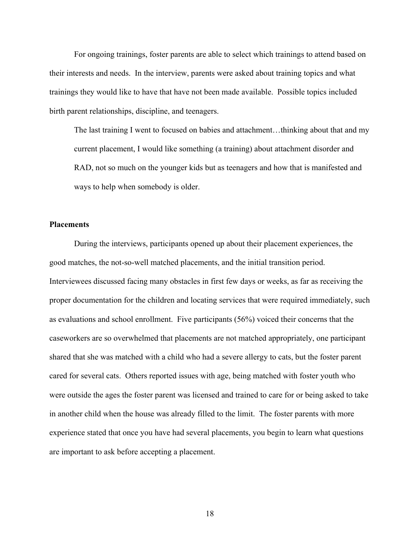For ongoing trainings, foster parents are able to select which trainings to attend based on their interests and needs. In the interview, parents were asked about training topics and what trainings they would like to have that have not been made available. Possible topics included birth parent relationships, discipline, and teenagers.

The last training I went to focused on babies and attachment…thinking about that and my current placement, I would like something (a training) about attachment disorder and RAD, not so much on the younger kids but as teenagers and how that is manifested and ways to help when somebody is older.

#### **Placements**

During the interviews, participants opened up about their placement experiences, the good matches, the not-so-well matched placements, and the initial transition period. Interviewees discussed facing many obstacles in first few days or weeks, as far as receiving the proper documentation for the children and locating services that were required immediately, such as evaluations and school enrollment. Five participants (56%) voiced their concerns that the caseworkers are so overwhelmed that placements are not matched appropriately, one participant shared that she was matched with a child who had a severe allergy to cats, but the foster parent cared for several cats. Others reported issues with age, being matched with foster youth who were outside the ages the foster parent was licensed and trained to care for or being asked to take in another child when the house was already filled to the limit. The foster parents with more experience stated that once you have had several placements, you begin to learn what questions are important to ask before accepting a placement.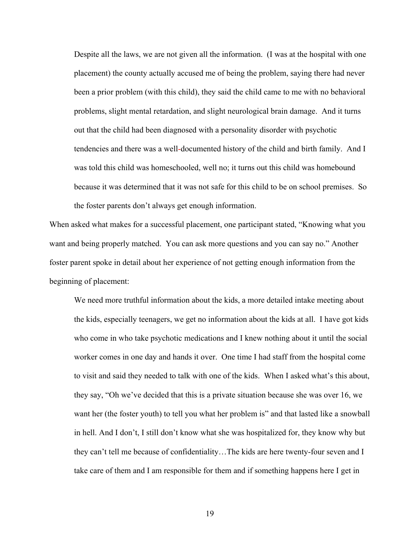Despite all the laws, we are not given all the information. (I was at the hospital with one placement) the county actually accused me of being the problem, saying there had never been a prior problem (with this child), they said the child came to me with no behavioral problems, slight mental retardation, and slight neurological brain damage. And it turns out that the child had been diagnosed with a personality disorder with psychotic tendencies and there was a well-documented history of the child and birth family. And I was told this child was homeschooled, well no; it turns out this child was homebound because it was determined that it was not safe for this child to be on school premises. So the foster parents don't always get enough information.

When asked what makes for a successful placement, one participant stated, "Knowing what you want and being properly matched. You can ask more questions and you can say no." Another foster parent spoke in detail about her experience of not getting enough information from the beginning of placement:

We need more truthful information about the kids, a more detailed intake meeting about the kids, especially teenagers, we get no information about the kids at all. I have got kids who come in who take psychotic medications and I knew nothing about it until the social worker comes in one day and hands it over. One time I had staff from the hospital come to visit and said they needed to talk with one of the kids. When I asked what's this about, they say, "Oh we've decided that this is a private situation because she was over 16, we want her (the foster youth) to tell you what her problem is" and that lasted like a snowball in hell. And I don't, I still don't know what she was hospitalized for, they know why but they can't tell me because of confidentiality…The kids are here twenty-four seven and I take care of them and I am responsible for them and if something happens here I get in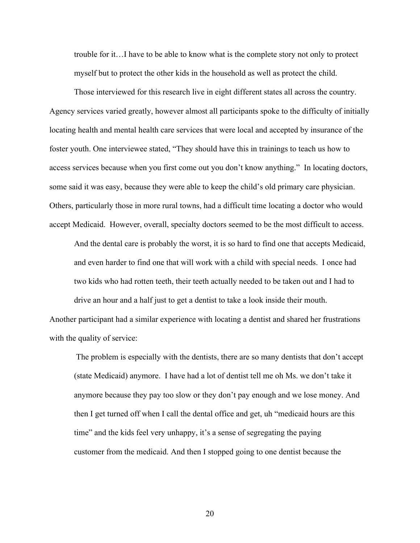trouble for it…I have to be able to know what is the complete story not only to protect myself but to protect the other kids in the household as well as protect the child.

Those interviewed for this research live in eight different states all across the country. Agency services varied greatly, however almost all participants spoke to the difficulty of initially locating health and mental health care services that were local and accepted by insurance of the foster youth. One interviewee stated, "They should have this in trainings to teach us how to access services because when you first come out you don't know anything." In locating doctors, some said it was easy, because they were able to keep the child's old primary care physician. Others, particularly those in more rural towns, had a difficult time locating a doctor who would accept Medicaid. However, overall, specialty doctors seemed to be the most difficult to access.

And the dental care is probably the worst, it is so hard to find one that accepts Medicaid, and even harder to find one that will work with a child with special needs. I once had two kids who had rotten teeth, their teeth actually needed to be taken out and I had to drive an hour and a half just to get a dentist to take a look inside their mouth.

Another participant had a similar experience with locating a dentist and shared her frustrations with the quality of service:

The problem is especially with the dentists, there are so many dentists that don't accept (state Medicaid) anymore. I have had a lot of dentist tell me oh Ms. we don't take it anymore because they pay too slow or they don't pay enough and we lose money. And then I get turned off when I call the dental office and get, uh "medicaid hours are this time" and the kids feel very unhappy, it's a sense of segregating the paying customer from the medicaid. And then I stopped going to one dentist because the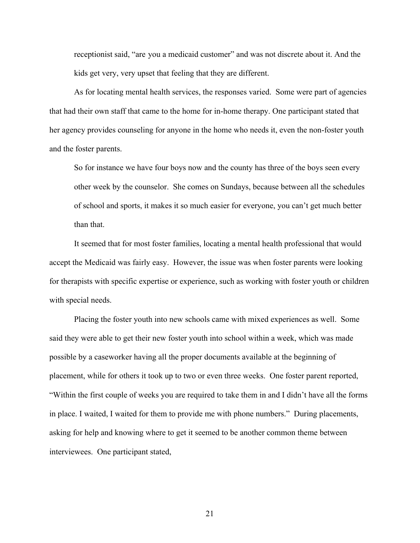receptionist said, "are you a medicaid customer" and was not discrete about it. And the kids get very, very upset that feeling that they are different.

As for locating mental health services, the responses varied. Some were part of agencies that had their own staff that came to the home for in-home therapy. One participant stated that her agency provides counseling for anyone in the home who needs it, even the non-foster youth and the foster parents.

So for instance we have four boys now and the county has three of the boys seen every other week by the counselor. She comes on Sundays, because between all the schedules of school and sports, it makes it so much easier for everyone, you can't get much better than that.

It seemed that for most foster families, locating a mental health professional that would accept the Medicaid was fairly easy. However, the issue was when foster parents were looking for therapists with specific expertise or experience, such as working with foster youth or children with special needs.

Placing the foster youth into new schools came with mixed experiences as well. Some said they were able to get their new foster youth into school within a week, which was made possible by a caseworker having all the proper documents available at the beginning of placement, while for others it took up to two or even three weeks. One foster parent reported, "Within the first couple of weeks you are required to take them in and I didn't have all the forms in place. I waited, I waited for them to provide me with phone numbers." During placements, asking for help and knowing where to get it seemed to be another common theme between interviewees. One participant stated,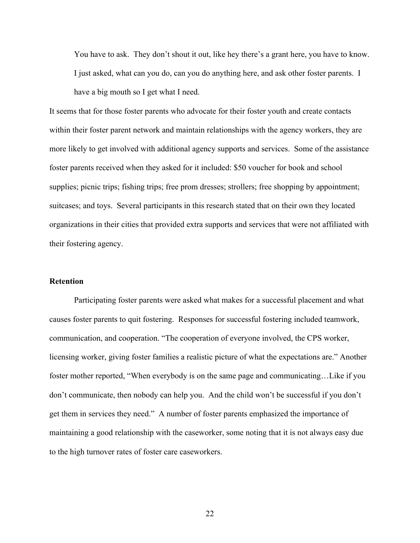You have to ask. They don't shout it out, like hey there's a grant here, you have to know. I just asked, what can you do, can you do anything here, and ask other foster parents. I have a big mouth so I get what I need.

It seems that for those foster parents who advocate for their foster youth and create contacts within their foster parent network and maintain relationships with the agency workers, they are more likely to get involved with additional agency supports and services. Some of the assistance foster parents received when they asked for it included: \$50 voucher for book and school supplies; picnic trips; fishing trips; free prom dresses; strollers; free shopping by appointment; suitcases; and toys. Several participants in this research stated that on their own they located organizations in their cities that provided extra supports and services that were not affiliated with their fostering agency.

#### **Retention**

Participating foster parents were asked what makes for a successful placement and what causes foster parents to quit fostering. Responses for successful fostering included teamwork, communication, and cooperation. "The cooperation of everyone involved, the CPS worker, licensing worker, giving foster families a realistic picture of what the expectations are." Another foster mother reported, "When everybody is on the same page and communicating…Like if you don't communicate, then nobody can help you. And the child won't be successful if you don't get them in services they need." A number of foster parents emphasized the importance of maintaining a good relationship with the caseworker, some noting that it is not always easy due to the high turnover rates of foster care caseworkers.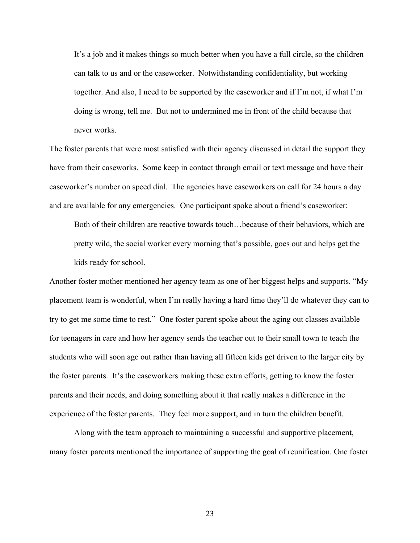It's a job and it makes things so much better when you have a full circle, so the children can talk to us and or the caseworker. Notwithstanding confidentiality, but working together. And also, I need to be supported by the caseworker and if I'm not, if what I'm doing is wrong, tell me. But not to undermined me in front of the child because that never works.

The foster parents that were most satisfied with their agency discussed in detail the support they have from their caseworks. Some keep in contact through email or text message and have their caseworker's number on speed dial. The agencies have caseworkers on call for 24 hours a day and are available for any emergencies. One participant spoke about a friend's caseworker:

Both of their children are reactive towards touch…because of their behaviors, which are pretty wild, the social worker every morning that's possible, goes out and helps get the kids ready for school.

Another foster mother mentioned her agency team as one of her biggest helps and supports. "My placement team is wonderful, when I'm really having a hard time they'll do whatever they can to try to get me some time to rest." One foster parent spoke about the aging out classes available for teenagers in care and how her agency sends the teacher out to their small town to teach the students who will soon age out rather than having all fifteen kids get driven to the larger city by the foster parents. It's the caseworkers making these extra efforts, getting to know the foster parents and their needs, and doing something about it that really makes a difference in the experience of the foster parents. They feel more support, and in turn the children benefit.

Along with the team approach to maintaining a successful and supportive placement, many foster parents mentioned the importance of supporting the goal of reunification. One foster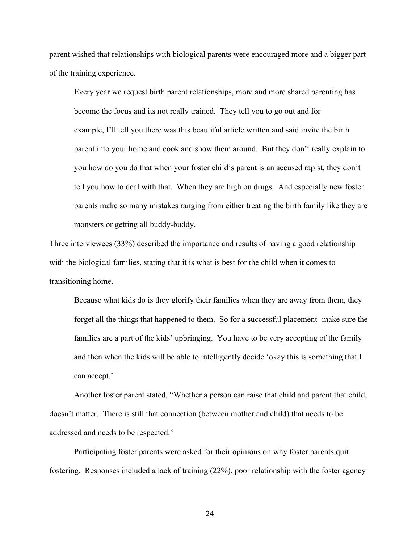parent wished that relationships with biological parents were encouraged more and a bigger part of the training experience.

Every year we request birth parent relationships, more and more shared parenting has become the focus and its not really trained. They tell you to go out and for example, I'll tell you there was this beautiful article written and said invite the birth parent into your home and cook and show them around. But they don't really explain to you how do you do that when your foster child's parent is an accused rapist, they don't tell you how to deal with that. When they are high on drugs. And especially new foster parents make so many mistakes ranging from either treating the birth family like they are monsters or getting all buddy-buddy.

Three interviewees (33%) described the importance and results of having a good relationship with the biological families, stating that it is what is best for the child when it comes to transitioning home.

Because what kids do is they glorify their families when they are away from them, they forget all the things that happened to them. So for a successful placement- make sure the families are a part of the kids' upbringing. You have to be very accepting of the family and then when the kids will be able to intelligently decide 'okay this is something that I can accept.'

Another foster parent stated, "Whether a person can raise that child and parent that child, doesn't matter. There is still that connection (between mother and child) that needs to be addressed and needs to be respected."

Participating foster parents were asked for their opinions on why foster parents quit fostering. Responses included a lack of training (22%), poor relationship with the foster agency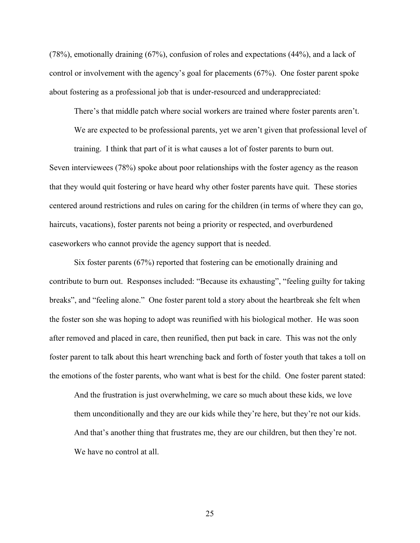(78%), emotionally draining (67%), confusion of roles and expectations (44%), and a lack of control or involvement with the agency's goal for placements (67%). One foster parent spoke about fostering as a professional job that is under-resourced and underappreciated:

There's that middle patch where social workers are trained where foster parents aren't.

We are expected to be professional parents, yet we aren't given that professional level of

training. I think that part of it is what causes a lot of foster parents to burn out. Seven interviewees (78%) spoke about poor relationships with the foster agency as the reason that they would quit fostering or have heard why other foster parents have quit. These stories centered around restrictions and rules on caring for the children (in terms of where they can go, haircuts, vacations), foster parents not being a priority or respected, and overburdened caseworkers who cannot provide the agency support that is needed.

Six foster parents (67%) reported that fostering can be emotionally draining and contribute to burn out. Responses included: "Because its exhausting", "feeling guilty for taking breaks", and "feeling alone." One foster parent told a story about the heartbreak she felt when the foster son she was hoping to adopt was reunified with his biological mother. He was soon after removed and placed in care, then reunified, then put back in care. This was not the only foster parent to talk about this heart wrenching back and forth of foster youth that takes a toll on the emotions of the foster parents, who want what is best for the child. One foster parent stated:

And the frustration is just overwhelming, we care so much about these kids, we love them unconditionally and they are our kids while they're here, but they're not our kids. And that's another thing that frustrates me, they are our children, but then they're not. We have no control at all.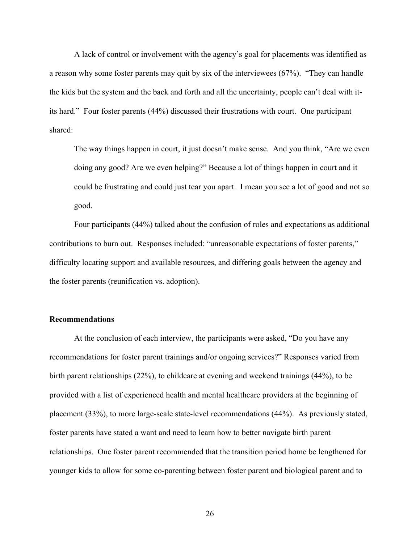A lack of control or involvement with the agency's goal for placements was identified as a reason why some foster parents may quit by six of the interviewees (67%). "They can handle the kids but the system and the back and forth and all the uncertainty, people can't deal with itits hard." Four foster parents (44%) discussed their frustrations with court. One participant shared:

The way things happen in court, it just doesn't make sense. And you think, "Are we even doing any good? Are we even helping?" Because a lot of things happen in court and it could be frustrating and could just tear you apart. I mean you see a lot of good and not so good.

Four participants (44%) talked about the confusion of roles and expectations as additional contributions to burn out. Responses included: "unreasonable expectations of foster parents," difficulty locating support and available resources, and differing goals between the agency and the foster parents (reunification vs. adoption).

#### **Recommendations**

At the conclusion of each interview, the participants were asked, "Do you have any recommendations for foster parent trainings and/or ongoing services?" Responses varied from birth parent relationships (22%), to childcare at evening and weekend trainings (44%), to be provided with a list of experienced health and mental healthcare providers at the beginning of placement (33%), to more large-scale state-level recommendations (44%). As previously stated, foster parents have stated a want and need to learn how to better navigate birth parent relationships. One foster parent recommended that the transition period home be lengthened for younger kids to allow for some co-parenting between foster parent and biological parent and to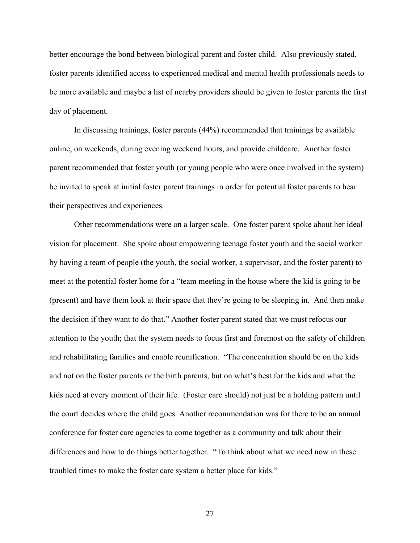better encourage the bond between biological parent and foster child. Also previously stated, foster parents identified access to experienced medical and mental health professionals needs to be more available and maybe a list of nearby providers should be given to foster parents the first day of placement.

In discussing trainings, foster parents (44%) recommended that trainings be available online, on weekends, during evening weekend hours, and provide childcare. Another foster parent recommended that foster youth (or young people who were once involved in the system) be invited to speak at initial foster parent trainings in order for potential foster parents to hear their perspectives and experiences.

Other recommendations were on a larger scale. One foster parent spoke about her ideal vision for placement. She spoke about empowering teenage foster youth and the social worker by having a team of people (the youth, the social worker, a supervisor, and the foster parent) to meet at the potential foster home for a "team meeting in the house where the kid is going to be (present) and have them look at their space that they're going to be sleeping in. And then make the decision if they want to do that." Another foster parent stated that we must refocus our attention to the youth; that the system needs to focus first and foremost on the safety of children and rehabilitating families and enable reunification. "The concentration should be on the kids and not on the foster parents or the birth parents, but on what's best for the kids and what the kids need at every moment of their life. (Foster care should) not just be a holding pattern until the court decides where the child goes. Another recommendation was for there to be an annual conference for foster care agencies to come together as a community and talk about their differences and how to do things better together. "To think about what we need now in these troubled times to make the foster care system a better place for kids."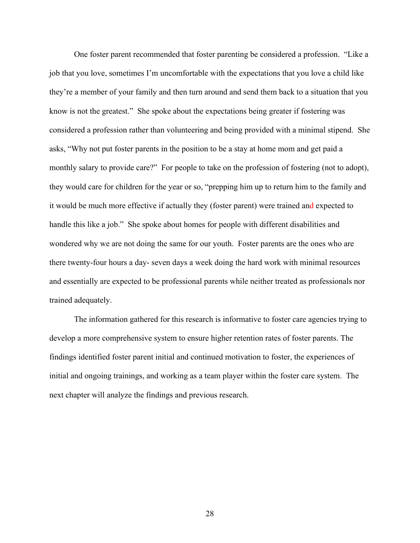One foster parent recommended that foster parenting be considered a profession. "Like a job that you love, sometimes I'm uncomfortable with the expectations that you love a child like they're a member of your family and then turn around and send them back to a situation that you know is not the greatest." She spoke about the expectations being greater if fostering was considered a profession rather than volunteering and being provided with a minimal stipend. She asks, "Why not put foster parents in the position to be a stay at home mom and get paid a monthly salary to provide care?" For people to take on the profession of fostering (not to adopt), they would care for children for the year or so, "prepping him up to return him to the family and it would be much more effective if actually they (foster parent) were trained and expected to handle this like a job." She spoke about homes for people with different disabilities and wondered why we are not doing the same for our youth. Foster parents are the ones who are there twenty-four hours a day- seven days a week doing the hard work with minimal resources and essentially are expected to be professional parents while neither treated as professionals nor trained adequately.

The information gathered for this research is informative to foster care agencies trying to develop a more comprehensive system to ensure higher retention rates of foster parents. The findings identified foster parent initial and continued motivation to foster, the experiences of initial and ongoing trainings, and working as a team player within the foster care system. The next chapter will analyze the findings and previous research.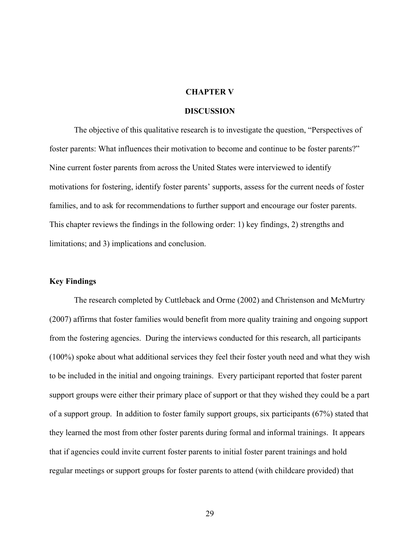#### **CHAPTER V**

#### **DISCUSSION**

The objective of this qualitative research is to investigate the question, "Perspectives of foster parents: What influences their motivation to become and continue to be foster parents?" Nine current foster parents from across the United States were interviewed to identify motivations for fostering, identify foster parents' supports, assess for the current needs of foster families, and to ask for recommendations to further support and encourage our foster parents. This chapter reviews the findings in the following order: 1) key findings, 2) strengths and limitations; and 3) implications and conclusion.

#### **Key Findings**

The research completed by Cuttleback and Orme (2002) and Christenson and McMurtry (2007) affirms that foster families would benefit from more quality training and ongoing support from the fostering agencies. During the interviews conducted for this research, all participants (100%) spoke about what additional services they feel their foster youth need and what they wish to be included in the initial and ongoing trainings. Every participant reported that foster parent support groups were either their primary place of support or that they wished they could be a part of a support group. In addition to foster family support groups, six participants (67%) stated that they learned the most from other foster parents during formal and informal trainings. It appears that if agencies could invite current foster parents to initial foster parent trainings and hold regular meetings or support groups for foster parents to attend (with childcare provided) that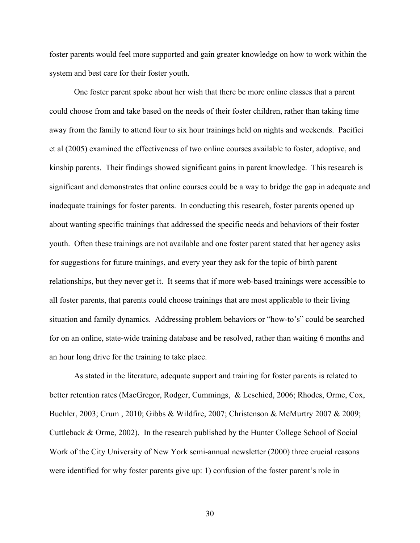foster parents would feel more supported and gain greater knowledge on how to work within the system and best care for their foster youth.

One foster parent spoke about her wish that there be more online classes that a parent could choose from and take based on the needs of their foster children, rather than taking time away from the family to attend four to six hour trainings held on nights and weekends. Pacifici et al (2005) examined the effectiveness of two online courses available to foster, adoptive, and kinship parents. Their findings showed significant gains in parent knowledge. This research is significant and demonstrates that online courses could be a way to bridge the gap in adequate and inadequate trainings for foster parents. In conducting this research, foster parents opened up about wanting specific trainings that addressed the specific needs and behaviors of their foster youth. Often these trainings are not available and one foster parent stated that her agency asks for suggestions for future trainings, and every year they ask for the topic of birth parent relationships, but they never get it. It seems that if more web-based trainings were accessible to all foster parents, that parents could choose trainings that are most applicable to their living situation and family dynamics. Addressing problem behaviors or "how-to's" could be searched for on an online, state-wide training database and be resolved, rather than waiting 6 months and an hour long drive for the training to take place.

As stated in the literature, adequate support and training for foster parents is related to better retention rates (MacGregor, Rodger, Cummings, & Leschied, 2006; Rhodes, Orme, Cox, Buehler, 2003; Crum , 2010; Gibbs & Wildfire, 2007; Christenson & McMurtry 2007 & 2009; Cuttleback & Orme, 2002). In the research published by the Hunter College School of Social Work of the City University of New York semi-annual newsletter (2000) three crucial reasons were identified for why foster parents give up: 1) confusion of the foster parent's role in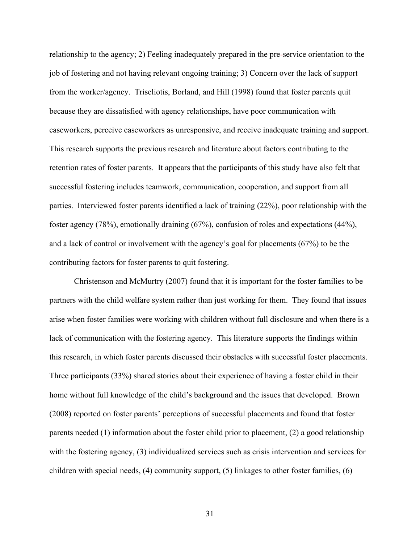relationship to the agency; 2) Feeling inadequately prepared in the pre-service orientation to the job of fostering and not having relevant ongoing training; 3) Concern over the lack of support from the worker/agency. Triseliotis, Borland, and Hill (1998) found that foster parents quit because they are dissatisfied with agency relationships, have poor communication with caseworkers, perceive caseworkers as unresponsive, and receive inadequate training and support. This research supports the previous research and literature about factors contributing to the retention rates of foster parents. It appears that the participants of this study have also felt that successful fostering includes teamwork, communication, cooperation, and support from all parties. Interviewed foster parents identified a lack of training (22%), poor relationship with the foster agency (78%), emotionally draining (67%), confusion of roles and expectations (44%), and a lack of control or involvement with the agency's goal for placements (67%) to be the contributing factors for foster parents to quit fostering.

Christenson and McMurtry (2007) found that it is important for the foster families to be partners with the child welfare system rather than just working for them. They found that issues arise when foster families were working with children without full disclosure and when there is a lack of communication with the fostering agency. This literature supports the findings within this research, in which foster parents discussed their obstacles with successful foster placements. Three participants (33%) shared stories about their experience of having a foster child in their home without full knowledge of the child's background and the issues that developed. Brown (2008) reported on foster parents' perceptions of successful placements and found that foster parents needed (1) information about the foster child prior to placement, (2) a good relationship with the fostering agency, (3) individualized services such as crisis intervention and services for children with special needs, (4) community support, (5) linkages to other foster families, (6)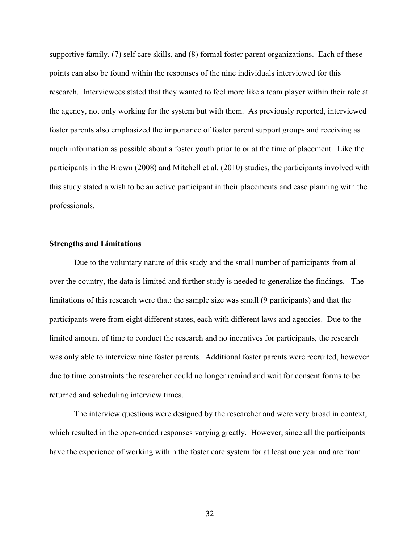supportive family, (7) self care skills, and (8) formal foster parent organizations. Each of these points can also be found within the responses of the nine individuals interviewed for this research. Interviewees stated that they wanted to feel more like a team player within their role at the agency, not only working for the system but with them. As previously reported, interviewed foster parents also emphasized the importance of foster parent support groups and receiving as much information as possible about a foster youth prior to or at the time of placement. Like the participants in the Brown (2008) and Mitchell et al. (2010) studies, the participants involved with this study stated a wish to be an active participant in their placements and case planning with the professionals.

#### **Strengths and Limitations**

Due to the voluntary nature of this study and the small number of participants from all over the country, the data is limited and further study is needed to generalize the findings. The limitations of this research were that: the sample size was small (9 participants) and that the participants were from eight different states, each with different laws and agencies. Due to the limited amount of time to conduct the research and no incentives for participants, the research was only able to interview nine foster parents. Additional foster parents were recruited, however due to time constraints the researcher could no longer remind and wait for consent forms to be returned and scheduling interview times.

The interview questions were designed by the researcher and were very broad in context, which resulted in the open-ended responses varying greatly. However, since all the participants have the experience of working within the foster care system for at least one year and are from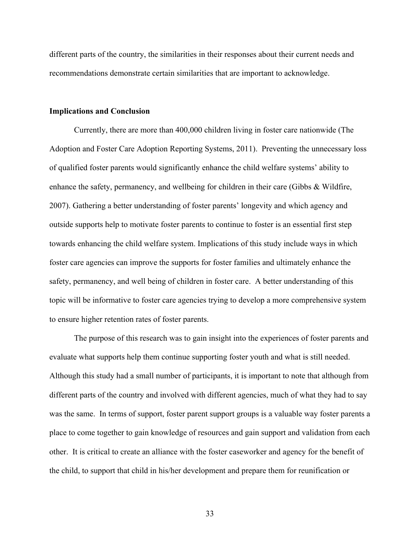different parts of the country, the similarities in their responses about their current needs and recommendations demonstrate certain similarities that are important to acknowledge.

#### **Implications and Conclusion**

Currently, there are more than 400,000 children living in foster care nationwide (The Adoption and Foster Care Adoption Reporting Systems, 2011). Preventing the unnecessary loss of qualified foster parents would significantly enhance the child welfare systems' ability to enhance the safety, permanency, and wellbeing for children in their care (Gibbs & Wildfire, 2007). Gathering a better understanding of foster parents' longevity and which agency and outside supports help to motivate foster parents to continue to foster is an essential first step towards enhancing the child welfare system. Implications of this study include ways in which foster care agencies can improve the supports for foster families and ultimately enhance the safety, permanency, and well being of children in foster care. A better understanding of this topic will be informative to foster care agencies trying to develop a more comprehensive system to ensure higher retention rates of foster parents.

The purpose of this research was to gain insight into the experiences of foster parents and evaluate what supports help them continue supporting foster youth and what is still needed. Although this study had a small number of participants, it is important to note that although from different parts of the country and involved with different agencies, much of what they had to say was the same. In terms of support, foster parent support groups is a valuable way foster parents a place to come together to gain knowledge of resources and gain support and validation from each other. It is critical to create an alliance with the foster caseworker and agency for the benefit of the child, to support that child in his/her development and prepare them for reunification or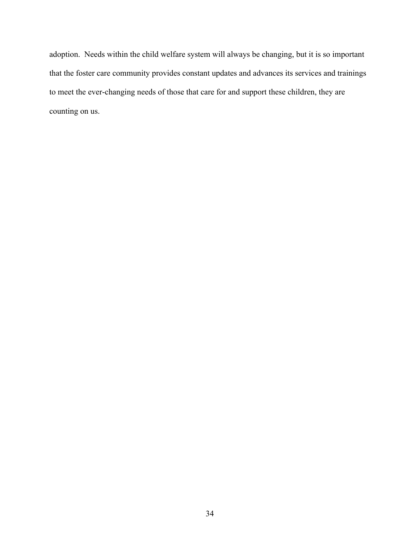adoption. Needs within the child welfare system will always be changing, but it is so important that the foster care community provides constant updates and advances its services and trainings to meet the ever-changing needs of those that care for and support these children, they are counting on us.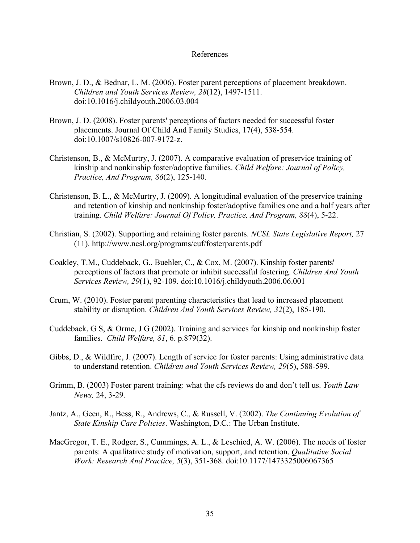#### References

- Brown, J. D., & Bednar, L. M. (2006). Foster parent perceptions of placement breakdown. *Children and Youth Services Review, 28*(12), 1497-1511. doi:10.1016/j.childyouth.2006.03.004
- Brown, J. D. (2008). Foster parents' perceptions of factors needed for successful foster placements. Journal Of Child And Family Studies, 17(4), 538-554. doi:10.1007/s10826-007-9172-z.
- Christenson, B., & McMurtry, J. (2007). A comparative evaluation of preservice training of kinship and nonkinship foster/adoptive families. *Child Welfare: Journal of Policy, Practice, And Program, 86*(2), 125-140.
- Christenson, B. L., & McMurtry, J. (2009). A longitudinal evaluation of the preservice training and retention of kinship and nonkinship foster/adoptive families one and a half years after training. *Child Welfare: Journal Of Policy, Practice, And Program, 88*(4), 5-22.
- Christian, S. (2002). Supporting and retaining foster parents. *NCSL State Legislative Report,* 27 (11). http://www.ncsl.org/programs/cuf/fosterparents.pdf
- Coakley, T.M., Cuddeback, G., Buehler, C., & Cox, M. (2007). Kinship foster parents' perceptions of factors that promote or inhibit successful fostering. *Children And Youth Services Review, 29*(1), 92-109. doi:10.1016/j.childyouth.2006.06.001
- Crum, W. (2010). Foster parent parenting characteristics that lead to increased placement stability or disruption. *Children And Youth Services Review, 32*(2), 185-190.
- Cuddeback, G S, & Orme, J G (2002). Training and services for kinship and nonkinship foster families. *Child Welfare, 81*, 6. p.879(32).
- Gibbs, D., & Wildfire, J. (2007). Length of service for foster parents: Using administrative data to understand retention. *Children and Youth Services Review, 29*(5), 588-599.
- Grimm, B. (2003) Foster parent training: what the cfs reviews do and don't tell us. *Youth Law News,* 24, 3-29.
- Jantz, A., Geen, R., Bess, R., Andrews, C., & Russell, V. (2002). *The Continuing Evolution of State Kinship Care Policies*. Washington, D.C.: The Urban Institute.
- MacGregor, T. E., Rodger, S., Cummings, A. L., & Leschied, A. W. (2006). The needs of foster parents: A qualitative study of motivation, support, and retention. *Qualitative Social Work: Research And Practice, 5*(3), 351-368. doi:10.1177/1473325006067365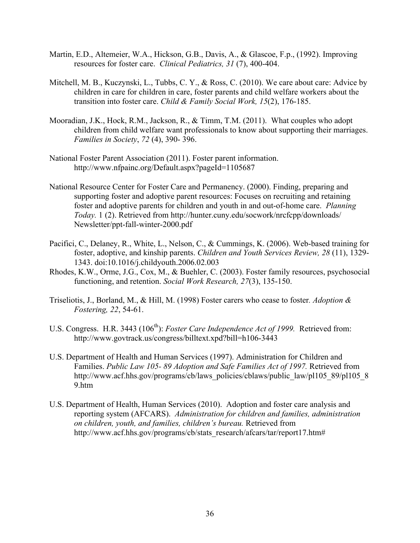- Martin, E.D., Altemeier, W.A., Hickson, G.B., Davis, A., & Glascoe, F.p., (1992). Improving resources for foster care. *Clinical Pediatrics, 31* (7), 400-404.
- Mitchell, M. B., Kuczynski, L., Tubbs, C. Y., & Ross, C. (2010). We care about care: Advice by children in care for children in care, foster parents and child welfare workers about the transition into foster care. *Child & Family Social Work, 15*(2), 176-185.
- Mooradian, J.K., Hock, R.M., Jackson, R., & Timm, T.M. (2011). What couples who adopt children from child welfare want professionals to know about supporting their marriages. *Families in Society*, *72* (4), 390- 396.
- National Foster Parent Association (2011). Foster parent information. http://www.nfpainc.org/Default.aspx?pageId=1105687
- National Resource Center for Foster Care and Permanency. (2000). Finding, preparing and supporting foster and adoptive parent resources: Focuses on recruiting and retaining foster and adoptive parents for children and youth in and out-of-home care. *Planning Today.* 1 (2). Retrieved from http://hunter.cuny.edu/socwork/nrcfcpp/downloads/ Newsletter/ppt-fall-winter-2000.pdf
- Pacifici, C., Delaney, R., White, L., Nelson, C., & Cummings, K. (2006). Web-based training for foster, adoptive, and kinship parents. *Children and Youth Services Review, 28* (11), 1329- 1343. doi:10.1016/j.childyouth.2006.02.003
- Rhodes, K.W., Orme, J.G., Cox, M., & Buehler, C. (2003). Foster family resources, psychosocial functioning, and retention. *Social Work Research, 27*(3), 135-150.
- Triseliotis, J., Borland, M., & Hill, M. (1998) Foster carers who cease to foster*. Adoption & Fostering, 22*, 54-61.
- U.S. Congress. H.R. 3443 (106<sup>th</sup>): *Foster Care Independence Act of 1999*. Retrieved from: http://www.govtrack.us/congress/billtext.xpd?bill=h106-3443
- U.S. Department of Health and Human Services (1997). Administration for Children and Families. *Public Law 105- 89 Adoption and Safe Families Act of 1997.* Retrieved from http://www.acf.hhs.gov/programs/cb/laws\_policies/cblaws/public\_law/pl105\_89/pl105\_8 9.htm
- U.S. Department of Health, Human Services (2010). Adoption and foster care analysis and reporting system (AFCARS). *Administration for children and families, administration on children, youth, and families, children's bureau.* Retrieved from http://www.acf.hhs.gov/programs/cb/stats\_research/afcars/tar/report17.htm#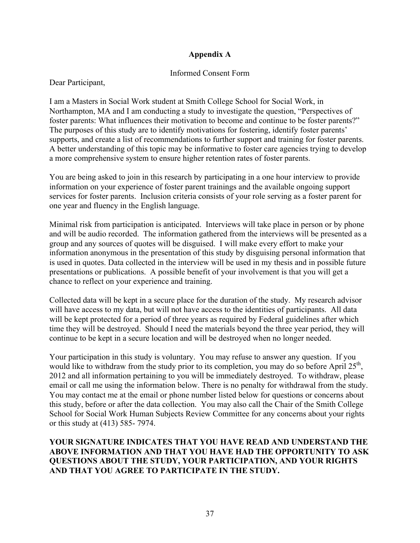# **Appendix A**

## Informed Consent Form

Dear Participant,

I am a Masters in Social Work student at Smith College School for Social Work, in Northampton, MA and I am conducting a study to investigate the question, "Perspectives of foster parents: What influences their motivation to become and continue to be foster parents?" The purposes of this study are to identify motivations for fostering, identify foster parents' supports, and create a list of recommendations to further support and training for foster parents. A better understanding of this topic may be informative to foster care agencies trying to develop a more comprehensive system to ensure higher retention rates of foster parents.

You are being asked to join in this research by participating in a one hour interview to provide information on your experience of foster parent trainings and the available ongoing support services for foster parents. Inclusion criteria consists of your role serving as a foster parent for one year and fluency in the English language.

Minimal risk from participation is anticipated. Interviews will take place in person or by phone and will be audio recorded. The information gathered from the interviews will be presented as a group and any sources of quotes will be disguised. I will make every effort to make your information anonymous in the presentation of this study by disguising personal information that is used in quotes. Data collected in the interview will be used in my thesis and in possible future presentations or publications. A possible benefit of your involvement is that you will get a chance to reflect on your experience and training.

Collected data will be kept in a secure place for the duration of the study. My research advisor will have access to my data, but will not have access to the identities of participants. All data will be kept protected for a period of three years as required by Federal guidelines after which time they will be destroyed. Should I need the materials beyond the three year period, they will continue to be kept in a secure location and will be destroyed when no longer needed.

Your participation in this study is voluntary. You may refuse to answer any question. If you would like to withdraw from the study prior to its completion, you may do so before April 25<sup>th</sup>, 2012 and all information pertaining to you will be immediately destroyed. To withdraw, please email or call me using the information below. There is no penalty for withdrawal from the study. You may contact me at the email or phone number listed below for questions or concerns about this study, before or after the data collection. You may also call the Chair of the Smith College School for Social Work Human Subjects Review Committee for any concerns about your rights or this study at (413) 585- 7974.

# **YOUR SIGNATURE INDICATES THAT YOU HAVE READ AND UNDERSTAND THE ABOVE INFORMATION AND THAT YOU HAVE HAD THE OPPORTUNITY TO ASK QUESTIONS ABOUT THE STUDY, YOUR PARTICIPATION, AND YOUR RIGHTS AND THAT YOU AGREE TO PARTICIPATE IN THE STUDY.**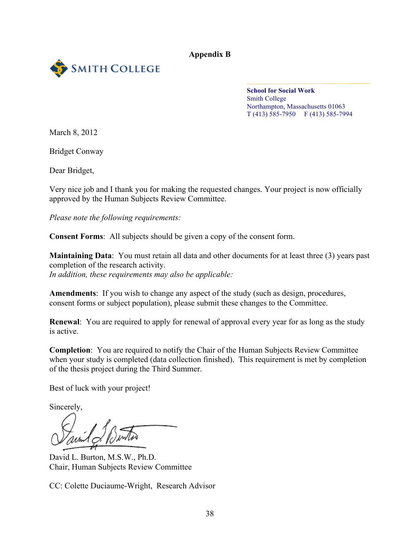**Appendix B**



**School for Social Work** Smith College Northampton, Massachusetts 01063 T (413) 585-7950 F (413) 585-7994

March 8, 2012

Bridget Conway

Dear Bridget,

Very nice job and I thank you for making the requested changes. Your project is now officially approved by the Human Subjects Review Committee.

*Please note the following requirements:*

**Consent Forms**: All subjects should be given a copy of the consent form.

**Maintaining Data**: You must retain all data and other documents for at least three (3) years past completion of the research activity.

*In addition, these requirements may also be applicable:*

**Amendments**: If you wish to change any aspect of the study (such as design, procedures, consent forms or subject population), please submit these changes to the Committee.

**Renewal**: You are required to apply for renewal of approval every year for as long as the study is active.

**Completion**: You are required to notify the Chair of the Human Subjects Review Committee when your study is completed (data collection finished). This requirement is met by completion of the thesis project during the Third Summer.

Best of luck with your project!

Sincerely,

David L. Burton, M.S.W., Ph.D. Chair, Human Subjects Review Committee

CC: Colette Duciaume-Wright, Research Advisor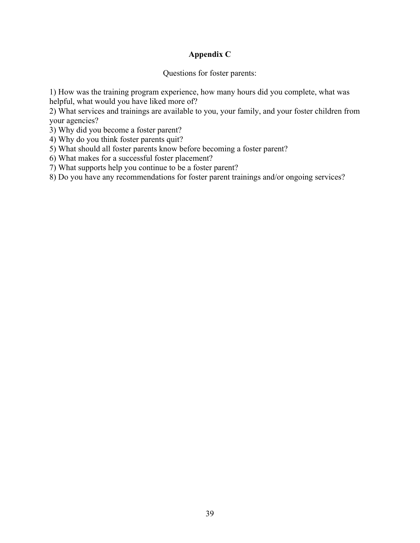# **Appendix C**

Questions for foster parents:

1) How was the training program experience, how many hours did you complete, what was helpful, what would you have liked more of?

2) What services and trainings are available to you, your family, and your foster children from your agencies?

3) Why did you become a foster parent?

4) Why do you think foster parents quit?

5) What should all foster parents know before becoming a foster parent?

6) What makes for a successful foster placement?

7) What supports help you continue to be a foster parent?

8) Do you have any recommendations for foster parent trainings and/or ongoing services?